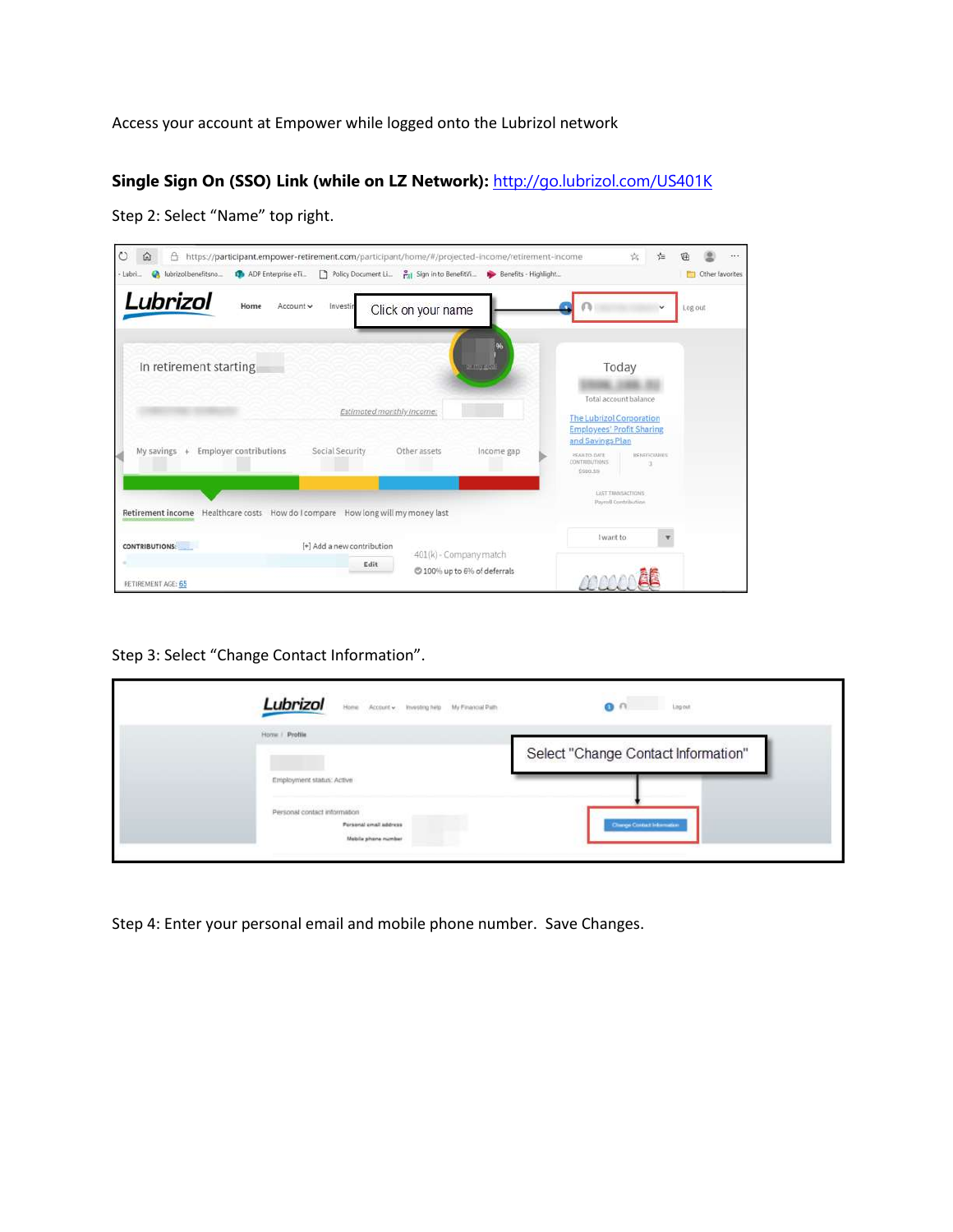Access your account at Empower while logged onto the Lubrizol network

**Single Sign On (SSO) Link (while on LZ Network):** <http://go.lubrizol.com/US401K>

| $\circ$<br>$\Omega$<br>https://participant.empower-retirement.com/participant/home/#/projected-income/retirement-income<br>A<br>Policy Document Li. Pri Sign in to BenefitVi Denefits - Highlight<br>ADP Enterprise eTi<br>lubrizol.benefitsno<br>- Lubri | <br>≮≣<br>Other favorites                                                                            |
|-----------------------------------------------------------------------------------------------------------------------------------------------------------------------------------------------------------------------------------------------------------|------------------------------------------------------------------------------------------------------|
| Lubrizol<br>Account v<br>Home<br>Investir<br>Click on your name                                                                                                                                                                                           | Log out<br>v                                                                                         |
| 96<br>In retirement starting<br><b>TO PHY ALM</b>                                                                                                                                                                                                         | Today                                                                                                |
| Estimated monthly Income:                                                                                                                                                                                                                                 | Total account balance<br><b>The Lubrizol Corporation</b><br><b>Employees' Profit Sharing</b>         |
| <b>Employer contributions</b><br>Social Security<br>My savings<br>$\ddot{}$<br>Other assets<br>Income gap                                                                                                                                                 | and Savings Plan<br><b>REAR TO-DATE</b><br><b>IRENEFICIALIES</b><br><b>CONTRIBUTIONS</b><br>\$980.5% |
| Retirement income Healthcare costs How do I compare How long will my money last                                                                                                                                                                           | LAST TRANSACTIONS<br>Payroll Contribution                                                            |
| [+] Add a new contribution<br>CONTRIBUTIONS:<br>401(k) - Company match                                                                                                                                                                                    | I want to                                                                                            |
| Edit<br>C 100% up to 6% of deferrals<br>RETIREMENT AGE: 65                                                                                                                                                                                                |                                                                                                      |

Step 2: Select "Name" top right.

Step 3: Select "Change Contact Information".

| Lubrizol<br>Home Account w . Investing help . My Financial Path               | Ling out<br>1872 W                  |
|-------------------------------------------------------------------------------|-------------------------------------|
| Home   Protile<br><b>AND A REPORT OF A STATE OF A REPORT</b>                  | Select "Change Contact Information" |
| Employment status: Active                                                     |                                     |
| Personal contact information<br>Porsonal email address<br>Mobile phane number | Change Contact Information          |

Step 4: Enter your personal email and mobile phone number. Save Changes.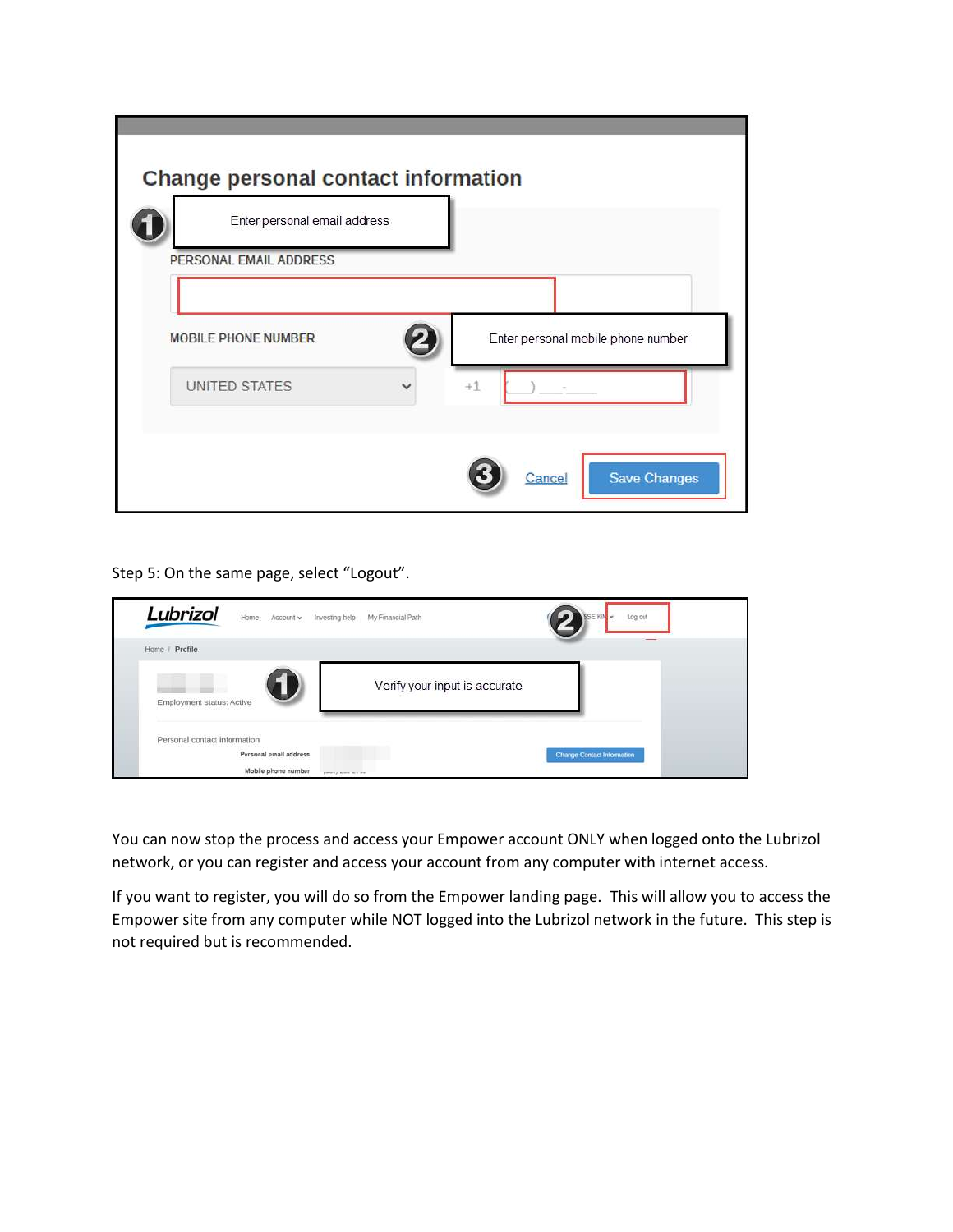| Change personal contact information                    |                                    |
|--------------------------------------------------------|------------------------------------|
| Enter personal email address<br>PERSONAL EMAIL ADDRESS |                                    |
| MOBILE PHONE NUMBER                                    | Enter personal mobile phone number |
| UNITED STATES<br>$\checkmark$                          | $+1$                               |
|                                                        | <b>Save Changes</b><br>Cancel      |

Step 5: On the same page, select "Logout".

| Lubrizol<br>Home Account Investing help                                       | My Financial Path             | <se kin<br="">Log out</se> |
|-------------------------------------------------------------------------------|-------------------------------|----------------------------|
| Home / Profile                                                                |                               |                            |
| Employment status: Active                                                     | Verify your input is accurate |                            |
| Personal contact information<br>Personal email address<br>Mobile phone number | present a more more cars.     | Change Contact Information |

You can now stop the process and access your Empower account ONLY when logged onto the Lubrizol network, or you can register and access your account from any computer with internet access.

If you want to register, you will do so from the Empower landing page. This will allow you to access the Empower site from any computer while NOT logged into the Lubrizol network in the future. This step is not required but is recommended.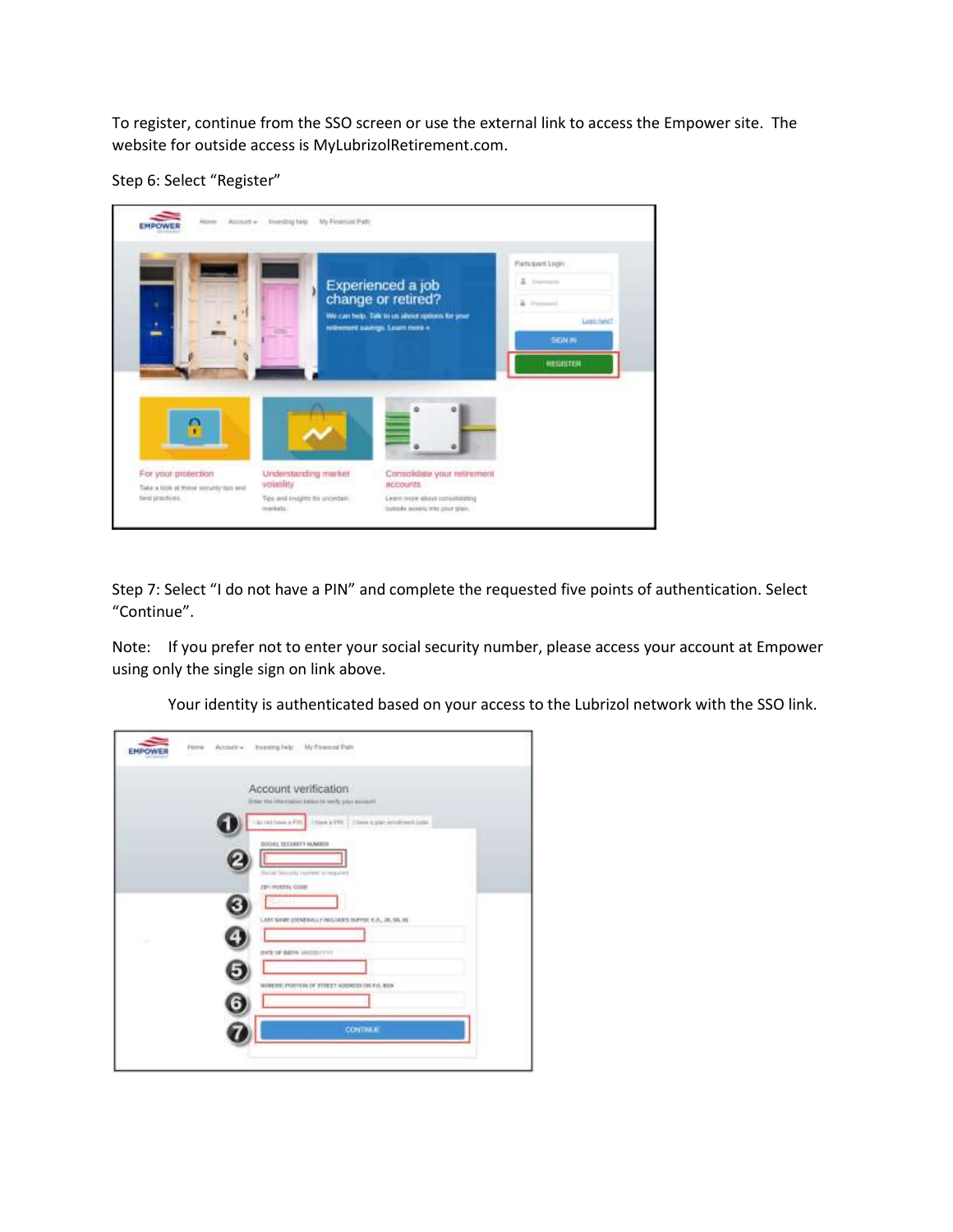To register, continue from the SSO screen or use the external link to access the Empower site. The website for outside access is MyLubrizolRetirement.com.

Step 6: Select "Register"



Step 7: Select "I do not have a PIN" and complete the requested five points of authentication. Select "Continue".

Note: If you prefer not to enter your social security number, please access your account at Empower using only the single sign on link above.

Your identity is authenticated based on your access to the Lubrizol network with the SSO link.

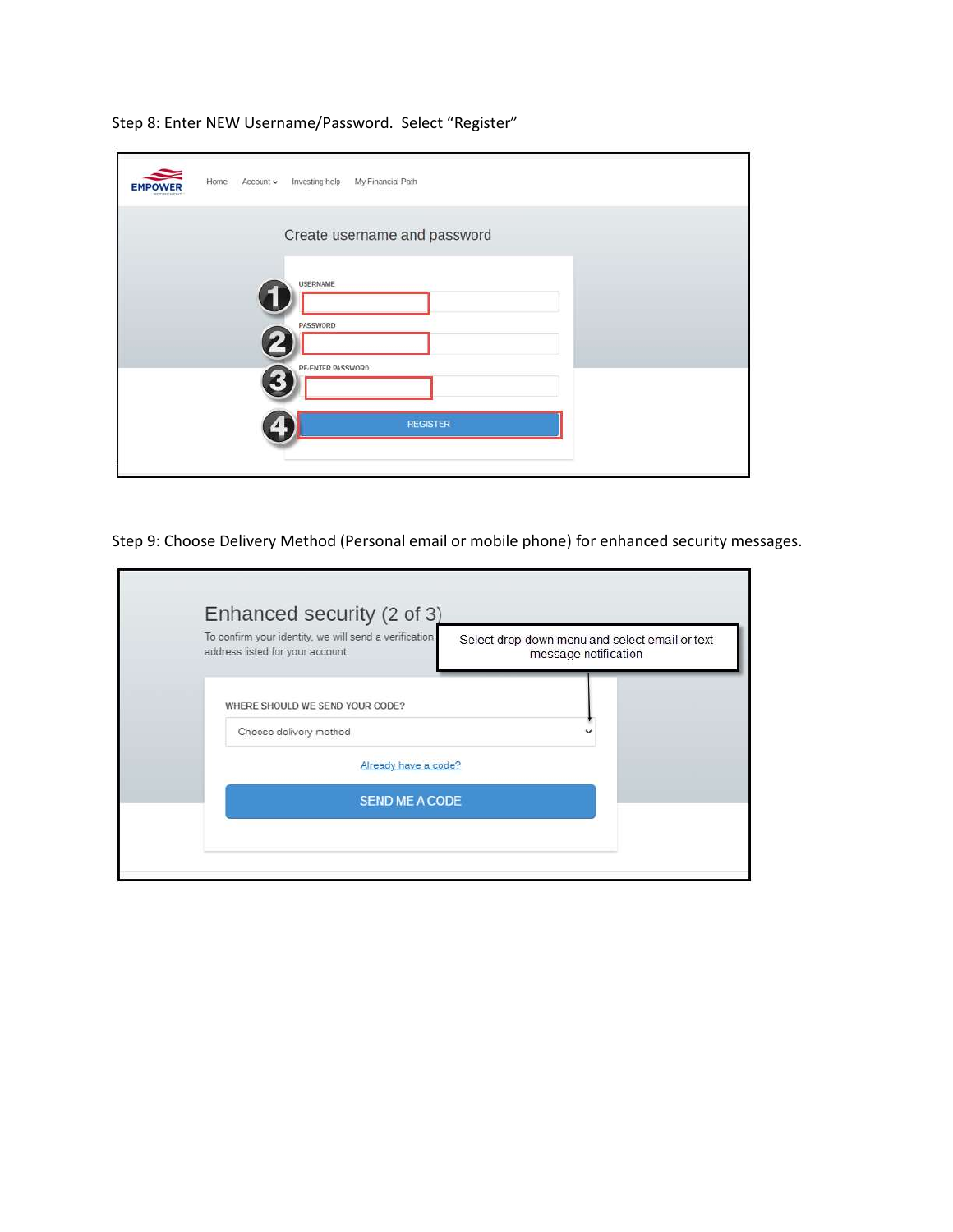| Create username and password         |                 |  |
|--------------------------------------|-----------------|--|
|                                      |                 |  |
| <b>USERNAME</b>                      |                 |  |
| PASSWORD<br><b>RE-ENTER PASSWORD</b> |                 |  |
|                                      | <b>REGISTER</b> |  |

Step 8: Enter NEW Username/Password. Select "Register"

Step 9: Choose Delivery Method (Personal email or mobile phone) for enhanced security messages.

| To confirm your identity, we will send a verification<br>address listed for your account. | Select drop down menu and select email or text<br>message notification |
|-------------------------------------------------------------------------------------------|------------------------------------------------------------------------|
| WHERE SHOULD WE SEND YOUR CODE?                                                           |                                                                        |
| Choose delivery method                                                                    |                                                                        |
| Already have a code?                                                                      |                                                                        |
| <b>SEND ME A CODE</b>                                                                     |                                                                        |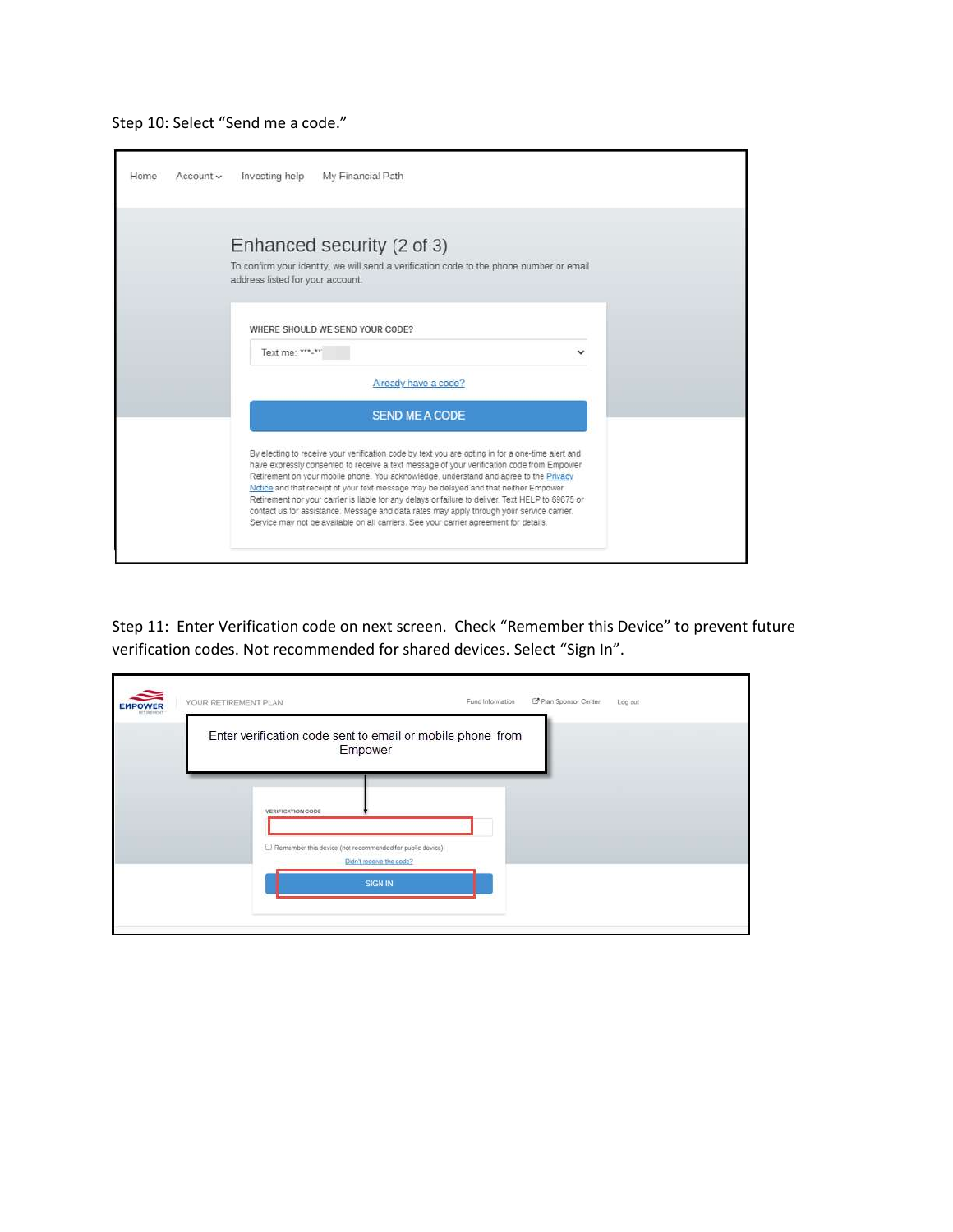

| Home<br>$Account \vee$ | Investing help<br>My Financial Path                                                                                                                                                                                                                                                                                                                                                                                                                                                                                                                                                                                                                                       |  |
|------------------------|---------------------------------------------------------------------------------------------------------------------------------------------------------------------------------------------------------------------------------------------------------------------------------------------------------------------------------------------------------------------------------------------------------------------------------------------------------------------------------------------------------------------------------------------------------------------------------------------------------------------------------------------------------------------------|--|
|                        | Enhanced security (2 of 3)<br>To confirm your identity, we will send a verification code to the phone number or email<br>address listed for your account.                                                                                                                                                                                                                                                                                                                                                                                                                                                                                                                 |  |
|                        | WHERE SHOULD WE SEND YOUR CODE?<br>Text me: ***.**                                                                                                                                                                                                                                                                                                                                                                                                                                                                                                                                                                                                                        |  |
|                        | Already have a code?                                                                                                                                                                                                                                                                                                                                                                                                                                                                                                                                                                                                                                                      |  |
|                        | <b>SEND ME A CODE</b>                                                                                                                                                                                                                                                                                                                                                                                                                                                                                                                                                                                                                                                     |  |
|                        | By electing to receive your verification code by text you are opting in for a one-time alert and<br>have expressly consented to receive a text message of your verification code from Empower<br>Retirement on your mobile phone. You acknowledge, understand and agree to the Privacy<br>Notice and that receipt of your text message may be delayed and that neither Empower<br>Retirement nor your carrier is liable for any delays or failure to deliver. Text HELP to 69675 or<br>contact us for assistance. Message and data rates may apply through your service carrier.<br>Service may not be available on all carriers. See your carrier agreement for details. |  |

Step 11: Enter Verification code on next screen. Check "Remember this Device" to prevent future verification codes. Not recommended for shared devices. Select "Sign In".

| <b>EMPOWER</b><br>NYTHERING | YOUR RETIREMENT PLAN                                                                 | Fund Information | C Plan Sponsor Center | Log out |
|-----------------------------|--------------------------------------------------------------------------------------|------------------|-----------------------|---------|
|                             | Enter verification code sent to email or mobile phone from<br>Empower                |                  |                       |         |
|                             | VERIFICATION CODE                                                                    |                  |                       |         |
|                             | Remember this device (not recommended for public device)<br>Didn't receive the code? |                  |                       |         |
|                             | <b>SIGN IN</b>                                                                       |                  |                       |         |
|                             |                                                                                      |                  |                       |         |